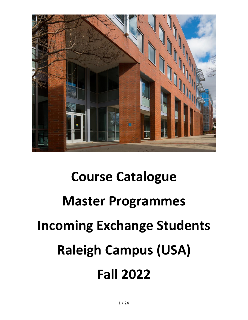

# **Course Catalogue Master Programmes Incoming Exchange Students Raleigh Campus (USA) Fall 2022**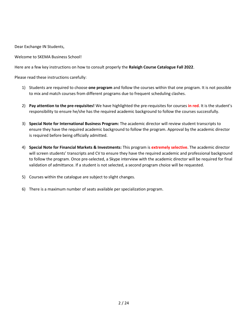Dear Exchange IN Students,

Welcome to SKEMA Business School!

Here are a few key instructions on how to consult properly the **Raleigh Course Catalogue Fall 2022**.

Please read these instructions carefully:

- 1) Students are required to choose **one program** and follow the courses within that one program. It is not possible to mix and match courses from different programs due to frequent scheduling clashes.
- 2) **Pay attention to the pre-requisites!** We have highlighted the pre-requisites for courses **in red**. It is the student's responsibility to ensure he/she has the required academic background to follow the courses successfully.
- 3) **Special Note for International Business Program:** The academic director will review student transcripts to ensure they have the required academic background to follow the program. Approval by the academic director is required before being officially admitted.
- 4) **Special Note for Financial Markets & Investments:** This program is **extremely selective**. The academic director will screen students' transcripts and CV to ensure they have the required academic and professional background to follow the program. Once pre-selected, a Skype interview with the academic director will be required for final validation of admittance. If a student is not selected, a second program choice will be requested.
- 5) Courses within the catalogue are subject to slight changes.
- 6) There is a maximum number of seats available per specialization program.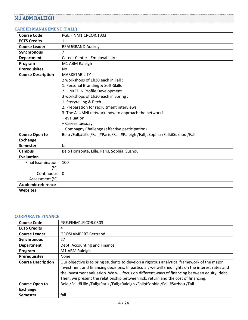## <span id="page-3-0"></span>**M1 ABM RALEIGH**

#### <span id="page-3-1"></span>**CAREER MANAGEMENT (FALL)**

| <b>Course Code</b>        | PGE.FINM1.CRCOR.1003                                                            |
|---------------------------|---------------------------------------------------------------------------------|
| <b>ECTS Credits</b>       | 1                                                                               |
| <b>Course Leader</b>      | <b>BEAUGRAND Audrey</b>                                                         |
| Synchronous               | 7                                                                               |
| <b>Department</b>         | Career Center - Employability                                                   |
| Program                   | M1 ABM Raleigh                                                                  |
| <b>Prerequisites</b>      | No                                                                              |
| <b>Course Description</b> | <b>MARKETABILITY</b>                                                            |
|                           | 2 workshops of 1h30 each in Fall:                                               |
|                           | 1. Personal Branding & Soft-Skills                                              |
|                           | 2. LINKEDIN Profile Development                                                 |
|                           | 3 workshops of 1h30 each in Spring:                                             |
|                           | 1. Storytelling & Pitch                                                         |
|                           | 2. Preparation for recruitment interviews                                       |
|                           | 3. The ALUMNI network: how to approach the network?                             |
|                           | + evaluation                                                                    |
|                           | + Career tuesday                                                                |
|                           | + Compagny Challenge (effective participation)                                  |
| <b>Course Open to</b>     | Belo /Fall;#Lille /Fall;#Paris /Fall;#Raleigh /Fall;#Sophia /Fall;#Suzhou /Fall |
| <b>Exchange</b>           |                                                                                 |
| <b>Semester</b>           | fall                                                                            |
| <b>Campus</b>             | Belo Horizonte, Lille, Paris, Sophia, Suzhou                                    |
| <b>Evaluation</b>         |                                                                                 |
| <b>Final Examination</b>  | 100                                                                             |
| $(\%)$                    |                                                                                 |
| Continuous                | $\Omega$                                                                        |
| Assessment (%)            |                                                                                 |
| <b>Academic reference</b> |                                                                                 |
| <b>Websites</b>           |                                                                                 |

## <span id="page-3-2"></span>**CORPORATE FINANCE**

| <b>Course Code</b>        | PGE.FINM1.FICOR.0503                                                                                                                                                                                                                                                                                                                                                                |
|---------------------------|-------------------------------------------------------------------------------------------------------------------------------------------------------------------------------------------------------------------------------------------------------------------------------------------------------------------------------------------------------------------------------------|
| <b>ECTS Credits</b>       | 4                                                                                                                                                                                                                                                                                                                                                                                   |
| <b>Course Leader</b>      | <b>GROSLAMBERT Bertrand</b>                                                                                                                                                                                                                                                                                                                                                         |
| Synchronous               | 27                                                                                                                                                                                                                                                                                                                                                                                  |
| <b>Department</b>         | Dept. Accounting and Finance                                                                                                                                                                                                                                                                                                                                                        |
| Program                   | M1 ABM Raleigh                                                                                                                                                                                                                                                                                                                                                                      |
| <b>Prerequisites</b>      | None                                                                                                                                                                                                                                                                                                                                                                                |
| <b>Course Description</b> | Our objective is to bring students to develop a rigorous analytical framework of the major<br>investment and financing decisions. In particular, we will shed lights on the interest rates and<br>the investment valuation. We will focus on different ways of financing between equity, debt.<br>Then, we present the relationship between risk, return and the cost of financing. |
| <b>Course Open to</b>     | Belo /Fall;#Lille /Fall;#Paris /Fall;#Raleigh /Fall;#Sophia /Fall;#Suzhou /Fall                                                                                                                                                                                                                                                                                                     |
| Exchange                  |                                                                                                                                                                                                                                                                                                                                                                                     |
| <b>Semester</b>           | fall                                                                                                                                                                                                                                                                                                                                                                                |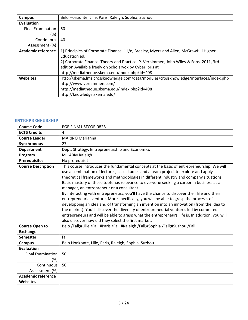| Campus                    | Belo Horizonte, Lille, Paris, Raleigh, Sophia, Suzhou                                 |
|---------------------------|---------------------------------------------------------------------------------------|
| <b>Evaluation</b>         |                                                                                       |
| <b>Final Examination</b>  | 60                                                                                    |
| (%)                       |                                                                                       |
| Continuous                | 40                                                                                    |
| Assessment (%)            |                                                                                       |
| <b>Academic reference</b> | 1) Principles of Corporate Finance, 11/e, Brealey, Myers and Allen, McGrawHill Higher |
|                           | Education ed.                                                                         |
|                           | 2) Corporate Finance Theory and Practice, P. Vernimmen, John Wiley & Sons, 2011, 3rd  |
|                           | edition Available freely on Scholarvox by Cyberlibris at                              |
|                           | http://mediatheque.skema.edu/index.php?id=408                                         |
| <b>Websites</b>           | Http://skema.lms.crossknowledge.com/data/modules/crossknowledge/interfaces/index.php  |
|                           | http://www.vernimmen.com/                                                             |
|                           | http://mediatheque.skema.edu/index.php?id=408                                         |
|                           | http://knowledge.skema.edu/                                                           |

#### <span id="page-4-0"></span>**ENTREPRENEURSHIP**

| <b>Course Code</b>        | PGE.FINM1.STCOR.0828                                                                                                                                                                                                                                                                                                                                                                                                                                                                                                                                                                                                                                                                                                                                                                                                                                                                                                                                       |
|---------------------------|------------------------------------------------------------------------------------------------------------------------------------------------------------------------------------------------------------------------------------------------------------------------------------------------------------------------------------------------------------------------------------------------------------------------------------------------------------------------------------------------------------------------------------------------------------------------------------------------------------------------------------------------------------------------------------------------------------------------------------------------------------------------------------------------------------------------------------------------------------------------------------------------------------------------------------------------------------|
| <b>ECTS Credits</b>       | 4                                                                                                                                                                                                                                                                                                                                                                                                                                                                                                                                                                                                                                                                                                                                                                                                                                                                                                                                                          |
| <b>Course Leader</b>      | <b>MARINO Marianna</b>                                                                                                                                                                                                                                                                                                                                                                                                                                                                                                                                                                                                                                                                                                                                                                                                                                                                                                                                     |
| Synchronous               | 27                                                                                                                                                                                                                                                                                                                                                                                                                                                                                                                                                                                                                                                                                                                                                                                                                                                                                                                                                         |
| <b>Department</b>         | Dept. Stratégy, Entrepreneurship and Economics                                                                                                                                                                                                                                                                                                                                                                                                                                                                                                                                                                                                                                                                                                                                                                                                                                                                                                             |
| Program                   | M1 ABM Raleigh                                                                                                                                                                                                                                                                                                                                                                                                                                                                                                                                                                                                                                                                                                                                                                                                                                                                                                                                             |
| <b>Prerequisites</b>      | No prerequisit                                                                                                                                                                                                                                                                                                                                                                                                                                                                                                                                                                                                                                                                                                                                                                                                                                                                                                                                             |
| <b>Course Description</b> | This course introduces the fundamental concepts at the basis of entrepreneurship. We will<br>use a combination of lectures, case studies and a team project to explore and apply<br>theoretical frameworks and methodologies in different industry and company situations.<br>Basic mastery of these tools has relevance to everyone seeking a career in business as a<br>manager, an entrepreneur or a consultant.<br>By interacting with entrepreneurs, you'll have the chance to discover their life and their<br>entrepreneurial venture. More specifically, you will be able to grasp the processs of<br>developping an idea and of transforming an invention into an innovation (from the idea to<br>the market). You'll discover the diversity of entrepreneurial ventures led by commited<br>entrepreneurs and will be able to grasp what the entrepreneurs 'life is. In addition, you will<br>also discover how did they select the first market. |
| <b>Course Open to</b>     | Belo /Fall;#Lille /Fall;#Paris /Fall;#Raleigh /Fall;#Sophia /Fall;#Suzhou /Fall                                                                                                                                                                                                                                                                                                                                                                                                                                                                                                                                                                                                                                                                                                                                                                                                                                                                            |
| <b>Exchange</b>           |                                                                                                                                                                                                                                                                                                                                                                                                                                                                                                                                                                                                                                                                                                                                                                                                                                                                                                                                                            |
| <b>Semester</b>           | fall                                                                                                                                                                                                                                                                                                                                                                                                                                                                                                                                                                                                                                                                                                                                                                                                                                                                                                                                                       |
| Campus                    | Belo Horizonte, Lille, Paris, Raleigh, Sophia, Suzhou                                                                                                                                                                                                                                                                                                                                                                                                                                                                                                                                                                                                                                                                                                                                                                                                                                                                                                      |
| <b>Evaluation</b>         |                                                                                                                                                                                                                                                                                                                                                                                                                                                                                                                                                                                                                                                                                                                                                                                                                                                                                                                                                            |
| <b>Final Examination</b>  | 50                                                                                                                                                                                                                                                                                                                                                                                                                                                                                                                                                                                                                                                                                                                                                                                                                                                                                                                                                         |
| $(\%)$                    |                                                                                                                                                                                                                                                                                                                                                                                                                                                                                                                                                                                                                                                                                                                                                                                                                                                                                                                                                            |
| Continuous                | 50                                                                                                                                                                                                                                                                                                                                                                                                                                                                                                                                                                                                                                                                                                                                                                                                                                                                                                                                                         |
| Assessment (%)            |                                                                                                                                                                                                                                                                                                                                                                                                                                                                                                                                                                                                                                                                                                                                                                                                                                                                                                                                                            |
| <b>Academic reference</b> |                                                                                                                                                                                                                                                                                                                                                                                                                                                                                                                                                                                                                                                                                                                                                                                                                                                                                                                                                            |
| <b>Websites</b>           |                                                                                                                                                                                                                                                                                                                                                                                                                                                                                                                                                                                                                                                                                                                                                                                                                                                                                                                                                            |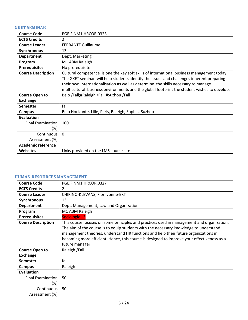## <span id="page-5-0"></span>**GKET SEMINAR**

| <b>Course Code</b>              | PGE.FINM1.HRCOR.0323                                                                                                                                                                                                                                                                                                                                                         |
|---------------------------------|------------------------------------------------------------------------------------------------------------------------------------------------------------------------------------------------------------------------------------------------------------------------------------------------------------------------------------------------------------------------------|
| <b>ECTS Credits</b>             | $\overline{2}$                                                                                                                                                                                                                                                                                                                                                               |
| <b>Course Leader</b>            | <b>FERRANTE Guillaume</b>                                                                                                                                                                                                                                                                                                                                                    |
| Synchronous                     | 13                                                                                                                                                                                                                                                                                                                                                                           |
| <b>Department</b>               | Dept. Marketing                                                                                                                                                                                                                                                                                                                                                              |
| Program                         | M1 ABM Raleigh                                                                                                                                                                                                                                                                                                                                                               |
| <b>Prerequisites</b>            | No prerequisite                                                                                                                                                                                                                                                                                                                                                              |
| <b>Course Description</b>       | Cultural competence is one the key soft skills of international business management today.<br>The GKET seminar will help students identify the issues and challenges inherent preparing<br>their own internationalisation as well as determine the skills necessary to manage<br>multicultural business environments and the global footprint the student wishes to develop. |
| <b>Course Open to</b>           | Belo /Fall;#Raleigh /Fall;#Suzhou /Fall                                                                                                                                                                                                                                                                                                                                      |
| <b>Exchange</b>                 |                                                                                                                                                                                                                                                                                                                                                                              |
| <b>Semester</b>                 | fall                                                                                                                                                                                                                                                                                                                                                                         |
| Campus                          | Belo Horizonte, Lille, Paris, Raleigh, Sophia, Suzhou                                                                                                                                                                                                                                                                                                                        |
| <b>Evaluation</b>               |                                                                                                                                                                                                                                                                                                                                                                              |
| <b>Final Examination</b><br>(%) | 100                                                                                                                                                                                                                                                                                                                                                                          |
| Continuous                      | $\Omega$                                                                                                                                                                                                                                                                                                                                                                     |
| Assessment (%)                  |                                                                                                                                                                                                                                                                                                                                                                              |
| <b>Academic reference</b>       |                                                                                                                                                                                                                                                                                                                                                                              |
| <b>Websites</b>                 | Links provided on the LMS course site                                                                                                                                                                                                                                                                                                                                        |

## <span id="page-5-1"></span>**HUMAN RESOURCES MANAGEMENT**

| <b>Course Code</b>        | PGE.FINM1.HRCOR.0327                                                                                                                                                                                                                                                                                                                                                                       |
|---------------------------|--------------------------------------------------------------------------------------------------------------------------------------------------------------------------------------------------------------------------------------------------------------------------------------------------------------------------------------------------------------------------------------------|
| <b>ECTS Credits</b>       | $\mathcal{P}$                                                                                                                                                                                                                                                                                                                                                                              |
| <b>Course Leader</b>      | CHIRINO-KLEVANS, Flor Ivonne-EXT                                                                                                                                                                                                                                                                                                                                                           |
| <b>Synchronous</b>        | 13                                                                                                                                                                                                                                                                                                                                                                                         |
| <b>Department</b>         | Dept. Management, Law and Organization                                                                                                                                                                                                                                                                                                                                                     |
| Program                   | M1 ABM Raleigh                                                                                                                                                                                                                                                                                                                                                                             |
| <b>Prerequisites</b>      | Sociologie L3                                                                                                                                                                                                                                                                                                                                                                              |
| <b>Course Description</b> | This course focuses on some principles and practices used in management and organization.<br>The aim of the course is to equip students with the necessary knowledge to understand<br>management theories, understand HR functions and help their future organizations in<br>becoming more efficient. Hence, this course is designed to improve your effectiveness as a<br>future manager. |
| <b>Course Open to</b>     | Raleigh / Fall                                                                                                                                                                                                                                                                                                                                                                             |
| <b>Exchange</b>           |                                                                                                                                                                                                                                                                                                                                                                                            |
| <b>Semester</b>           | fall                                                                                                                                                                                                                                                                                                                                                                                       |
| <b>Campus</b>             | Raleigh                                                                                                                                                                                                                                                                                                                                                                                    |
| <b>Evaluation</b>         |                                                                                                                                                                                                                                                                                                                                                                                            |
| <b>Final Examination</b>  | 50                                                                                                                                                                                                                                                                                                                                                                                         |
| $(\%)$                    |                                                                                                                                                                                                                                                                                                                                                                                            |
| Continuous                | 50                                                                                                                                                                                                                                                                                                                                                                                         |
| Assessment (%)            |                                                                                                                                                                                                                                                                                                                                                                                            |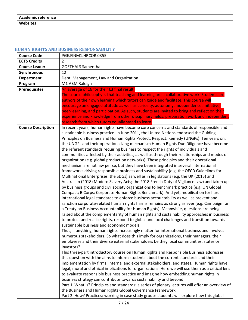| <b>Academic reference</b> |  |
|---------------------------|--|
| <b>Websites</b>           |  |

## <span id="page-6-0"></span>**HUMAN RIGHTS AND BUSINESS RESPONSABILITY**

| <b>Course Code</b>        | PGE.FINM1.HRCOR.0355                                                                                                                                                                            |
|---------------------------|-------------------------------------------------------------------------------------------------------------------------------------------------------------------------------------------------|
| <b>ECTS Credits</b>       | $\overline{2}$                                                                                                                                                                                  |
| <b>Course Leader</b>      | <b>GOETHALS Samentha</b>                                                                                                                                                                        |
| <b>Synchronous</b>        | 12                                                                                                                                                                                              |
| <b>Department</b>         | Dept. Management, Law and Organization                                                                                                                                                          |
| Program                   | M1 ABM Raleigh                                                                                                                                                                                  |
| <b>Prerequisites</b>      | An average of 16 for their L3 final result.                                                                                                                                                     |
|                           | The course philosophy is that teaching and learning are a collaborative work. Students are                                                                                                      |
|                           | authors of their own learning which tutors can guide and facilitate. This course will                                                                                                           |
|                           | encourage an engaged attitude as well as curiosity, autonomy, independence, initiative,                                                                                                         |
|                           | peer-learning, and participation. As such, students are invited to bring and reflect on their                                                                                                   |
|                           | experience and knowledge from other disciplinary fields, preparation work and independent                                                                                                       |
|                           | research from which tutors equally stand to learn.                                                                                                                                              |
| <b>Course Description</b> | In recent years, human rights have become core concerns and standards of responsible and                                                                                                        |
|                           | sustainable business practice. In June 2011, the United Nations endorsed the Guiding                                                                                                            |
|                           | Principles on Business and Human Rights Protect, Respect, Remedy (UNGPs). Ten years on,                                                                                                         |
|                           | the UNGPs and their operationalizing mechanism Human Rights Due Diligence have become<br>the referent standards requiring business to respect the rights of individuals and                     |
|                           | communities affected by their activities, as well as through their relationships and modes of                                                                                                   |
|                           | organization (e.g. global production networks). These principles and their operational                                                                                                          |
|                           | mechanism are not law per se, but they have been integrated in several international                                                                                                            |
|                           | frameworks driving responsible business and sustainability (e.g. the OECD Guidelines for                                                                                                        |
|                           | Multinational Enterprises, the SDGs) as well as in legislations (e.g. the UK (2015) and                                                                                                         |
|                           | Australian (2018) Modern Slavery Acts; the 2018 French Duty of Vigilance Law) and taken up                                                                                                      |
|                           | by business groups and civil society organizations to benchmark practice (e.g. UN Global                                                                                                        |
|                           | Compact; B Corps; Corporate Human Rights Benchmark). And yet, mobilisation for hard                                                                                                             |
|                           | international legal standards to enforce business accountability as well as prevent and                                                                                                         |
|                           | sanction corporate-related human rights harms remains as strong as ever (e.g. Campaign for                                                                                                      |
|                           | a Treaty on Business Accountability for Human Rights). Meanwhile, questions are being                                                                                                           |
|                           | raised about the complementarity of human rights and sustainability approaches in business                                                                                                      |
|                           | to protect and realise rights, respond to global and local challenges and transition towards                                                                                                    |
|                           | sustainable business and economic models.                                                                                                                                                       |
|                           | Thus, if anything, human rights increasingly matter for international business and involves                                                                                                     |
|                           | numerous stakeholders. So what does this imply for organizations, their managers, their                                                                                                         |
|                           | employees and their diverse external stakeholders be they local communities, states or                                                                                                          |
|                           | investors?                                                                                                                                                                                      |
|                           | This three-part introductory course on Human Rights and Responsible Business addresses                                                                                                          |
|                           | this question with the aims to inform students about the current standards and their                                                                                                            |
|                           | implementation by firms, internal and external stakeholders, and states. Human rights have<br>legal, moral and ethical implications for organizations. Here we will use them as a critical lens |
|                           | to evaluate responsible business practice and imagine how embedding human rights in                                                                                                             |
|                           | business strategy can contribute towards sustainability and beyond.                                                                                                                             |
|                           | Part 1 What is? Principles and standards: a series of plenary lectures will offer an overview of                                                                                                |
|                           | the Business and Human Rights Global Governance Framework                                                                                                                                       |
|                           | Part 2 How? Practices: working in case study groups students will explore how this global                                                                                                       |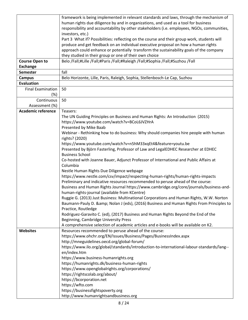|                           | framework is being implemented in relevant standards and laws, through the mechanism of                                                  |
|---------------------------|------------------------------------------------------------------------------------------------------------------------------------------|
|                           | human rights due diligence by and in organizations, and used as a tool for business                                                      |
|                           |                                                                                                                                          |
|                           | responsibility and accountability by other stakeholders (i.e. employees, NGOs, communities,                                              |
|                           | investors, etc.)                                                                                                                         |
|                           | Part 3 What if? Possibilities: reflecting on the course and their group work, students will                                              |
|                           | produce and get feedback on an individual executive proposal on how a human rights                                                       |
|                           | approach could enhance or potentially transform the sustainability goals of the company                                                  |
|                           | they studied in their group or one of their own choice                                                                                   |
| <b>Course Open to</b>     | Belo /Fall;#Lille /Fall;#Paris /Fall;#Raleigh /Fall;#Sophia /Fall;#Suzhou /Fall                                                          |
| <b>Exchange</b>           |                                                                                                                                          |
| <b>Semester</b>           | fall                                                                                                                                     |
| <b>Campus</b>             | Belo Horizonte, Lille, Paris, Raleigh, Sophia, Stellenbosch-Le Cap, Suzhou                                                               |
| <b>Evaluation</b>         |                                                                                                                                          |
| <b>Final Examination</b>  | 50                                                                                                                                       |
| (%)                       |                                                                                                                                          |
| Continuous                | 50                                                                                                                                       |
| Assessment (%)            |                                                                                                                                          |
| <b>Academic reference</b> | Teasers:                                                                                                                                 |
|                           | The UN Guiding Principles on Business and Human Rights: An Introduction (2015)                                                           |
|                           |                                                                                                                                          |
|                           | https://www.youtube.com/watch?v=BCoL6JVZHrA                                                                                              |
|                           | Presented by Mike Baab                                                                                                                   |
|                           | Webinar - Rethinking how to do business: Why should companies hire people with human                                                     |
|                           | rights? (2020)                                                                                                                           |
|                           | https://www.youtube.com/watch?v=n5hM33xqEt4&feature=youtu.be                                                                             |
|                           | Presented by Björn Fasterling, Professor of Law and LegalEDHEC Researcher at EDHEC                                                       |
|                           | <b>Business School</b>                                                                                                                   |
|                           | Co-hosted with Joanne Bauer, Adjunct Professor of International and Public Affairs at<br>Columbia                                        |
|                           | Nestle Human Rights Due Diligence webpage                                                                                                |
|                           | https://www.nestle.com/csv/impact/respecting-human-rights/human-rights-impacts                                                           |
|                           |                                                                                                                                          |
|                           | Preliminary and indicative resources recommended to peruse ahead of the course:                                                          |
|                           | Business and Human Rights Journal https://www.cambridge.org/core/journals/business-and-<br>human-rights-journal (available from KCentre) |
|                           | Ruggie G. (2013) Just Business: Multinational Corporations and Human Rights, W.W. Norton                                                 |
|                           | Baumann-Pauly D. & Nolan J (eds), (2016) Business and Human Rights From Principles to                                                    |
|                           | Practice, Routledge                                                                                                                      |
|                           | Rodriguez-Garavito C. (ed), (2017) Business and Human Rights Beyond the End of the                                                       |
|                           | Beginning, Cambridge University Press                                                                                                    |
|                           | A comprehensive selection of academic articles and e-books will be available on K2.                                                      |
| <b>Websites</b>           | Resources recommended to peruse ahead of the course:                                                                                     |
|                           | https://www.ohchr.org/EN/Issues/Business/Pages/BusinessIndex.aspx                                                                        |
|                           | http://mneguidelines.oecd.org/global-forum/                                                                                              |
|                           | https://www.ilo.org/global/standards/introduction-to-international-labour-standards/lang--                                               |
|                           | en/index.htm                                                                                                                             |
|                           | https://www.business-humanrights.org                                                                                                     |
|                           | https://humanrights.dk/business-human-rights                                                                                             |
|                           | https://www.openglobalrights.org/corporations/                                                                                           |
|                           | https://rightscolab.org/about/                                                                                                           |
|                           | https://bcorporation.net                                                                                                                 |
|                           | https://wfto.com                                                                                                                         |
|                           | https://businessfightspoverty.org                                                                                                        |
|                           |                                                                                                                                          |
|                           | http://www.humanrightsandbusiness.org                                                                                                    |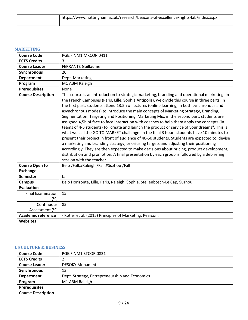| https://www.nottingham.ac.uk/research/beacons-of-excellence/rights-lab/index.aspx |
|-----------------------------------------------------------------------------------|
|                                                                                   |

# <span id="page-8-0"></span>**MARKETING**

| <b>Course Code</b>        | PGE.FINM1.MKCOR.0411                                                                                                                                                                                                                                                                                                                                                                                                                                                                                                                                                                                                                                                                                                                                                                                                                                                                                                                                                                                                                                                                                                                                                                             |
|---------------------------|--------------------------------------------------------------------------------------------------------------------------------------------------------------------------------------------------------------------------------------------------------------------------------------------------------------------------------------------------------------------------------------------------------------------------------------------------------------------------------------------------------------------------------------------------------------------------------------------------------------------------------------------------------------------------------------------------------------------------------------------------------------------------------------------------------------------------------------------------------------------------------------------------------------------------------------------------------------------------------------------------------------------------------------------------------------------------------------------------------------------------------------------------------------------------------------------------|
| <b>ECTS Credits</b>       | 3                                                                                                                                                                                                                                                                                                                                                                                                                                                                                                                                                                                                                                                                                                                                                                                                                                                                                                                                                                                                                                                                                                                                                                                                |
| <b>Course Leader</b>      | <b>FERRANTE Guillaume</b>                                                                                                                                                                                                                                                                                                                                                                                                                                                                                                                                                                                                                                                                                                                                                                                                                                                                                                                                                                                                                                                                                                                                                                        |
| Synchronous               | 20                                                                                                                                                                                                                                                                                                                                                                                                                                                                                                                                                                                                                                                                                                                                                                                                                                                                                                                                                                                                                                                                                                                                                                                               |
| <b>Department</b>         | Dept. Marketing                                                                                                                                                                                                                                                                                                                                                                                                                                                                                                                                                                                                                                                                                                                                                                                                                                                                                                                                                                                                                                                                                                                                                                                  |
| Program                   | M1 ABM Raleigh                                                                                                                                                                                                                                                                                                                                                                                                                                                                                                                                                                                                                                                                                                                                                                                                                                                                                                                                                                                                                                                                                                                                                                                   |
| <b>Prerequisites</b>      | <b>None</b>                                                                                                                                                                                                                                                                                                                                                                                                                                                                                                                                                                                                                                                                                                                                                                                                                                                                                                                                                                                                                                                                                                                                                                                      |
| <b>Course Description</b> | This course is an introduction to strategic marketing, branding and operational marketing. In<br>the French Campuses (Paris, Lille, Sophia Antipolis), we divide this course in three parts: in<br>the first part, students attend 13.5h of lectures (online learning, in both synchronous and<br>asynchronous modes) to introduce the main concepts of Marketing Strategy, Branding,<br>Segmentation, Targeting and Positioning, Marketing Mix; in the second part, students are<br>assigned 4,5h of face to face interaction with coaches to help them apply the concepts (in<br>teams of 4-5 students) to "create and launch the product or service of your dreams". This is<br>what we call the GO TO MARKET challenge. In the final 3 hours students have 10 minutes to<br>present their project in front of audience of 40-50 students. Students are expected to devise<br>a marketing and branding strategy, prioritising targets and adjusting their positioning<br>accordingly. They are then expected to make decisions about pricing, product development,<br>distribution and promotion. A final presentation by each group is followed by a debriefing<br>session with the teacher. |
| <b>Course Open to</b>     | Belo /Fall;#Raleigh /Fall;#Suzhou /Fall                                                                                                                                                                                                                                                                                                                                                                                                                                                                                                                                                                                                                                                                                                                                                                                                                                                                                                                                                                                                                                                                                                                                                          |
| <b>Exchange</b>           |                                                                                                                                                                                                                                                                                                                                                                                                                                                                                                                                                                                                                                                                                                                                                                                                                                                                                                                                                                                                                                                                                                                                                                                                  |
| <b>Semester</b>           | fall                                                                                                                                                                                                                                                                                                                                                                                                                                                                                                                                                                                                                                                                                                                                                                                                                                                                                                                                                                                                                                                                                                                                                                                             |
| <b>Campus</b>             | Belo Horizonte, Lille, Paris, Raleigh, Sophia, Stellenbosch-Le Cap, Suzhou                                                                                                                                                                                                                                                                                                                                                                                                                                                                                                                                                                                                                                                                                                                                                                                                                                                                                                                                                                                                                                                                                                                       |
| <b>Evaluation</b>         |                                                                                                                                                                                                                                                                                                                                                                                                                                                                                                                                                                                                                                                                                                                                                                                                                                                                                                                                                                                                                                                                                                                                                                                                  |
| <b>Final Examination</b>  | 15                                                                                                                                                                                                                                                                                                                                                                                                                                                                                                                                                                                                                                                                                                                                                                                                                                                                                                                                                                                                                                                                                                                                                                                               |
| $(\%)$                    |                                                                                                                                                                                                                                                                                                                                                                                                                                                                                                                                                                                                                                                                                                                                                                                                                                                                                                                                                                                                                                                                                                                                                                                                  |
| Continuous                | 85                                                                                                                                                                                                                                                                                                                                                                                                                                                                                                                                                                                                                                                                                                                                                                                                                                                                                                                                                                                                                                                                                                                                                                                               |
| Assessment (%)            |                                                                                                                                                                                                                                                                                                                                                                                                                                                                                                                                                                                                                                                                                                                                                                                                                                                                                                                                                                                                                                                                                                                                                                                                  |
| <b>Academic reference</b> | - Kotler et al. (2015) Principles of Marketing. Pearson.                                                                                                                                                                                                                                                                                                                                                                                                                                                                                                                                                                                                                                                                                                                                                                                                                                                                                                                                                                                                                                                                                                                                         |
| <b>Websites</b>           |                                                                                                                                                                                                                                                                                                                                                                                                                                                                                                                                                                                                                                                                                                                                                                                                                                                                                                                                                                                                                                                                                                                                                                                                  |

## <span id="page-8-1"></span>**US CULTURE & BUSINESS**

| <b>Course Code</b>        | PGE.FINM1.STCOR.0831                           |
|---------------------------|------------------------------------------------|
| <b>ECTS Credits</b>       |                                                |
| <b>Course Leader</b>      | <b>DESOKY Mohamed</b>                          |
| Synchronous               | 13                                             |
| <b>Department</b>         | Dept. Stratégy, Entrepreneurship and Economics |
| Program                   | M1 ABM Raleigh                                 |
| <b>Prerequisites</b>      |                                                |
| <b>Course Description</b> |                                                |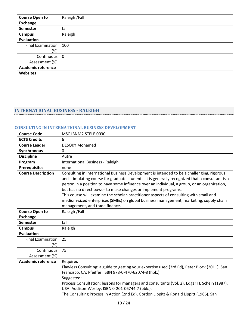| <b>Course Open to</b>     | Raleigh /Fall |
|---------------------------|---------------|
| Exchange                  |               |
| <b>Semester</b>           | fall          |
| Campus                    | Raleigh       |
| Evaluation                |               |
| Final Examination         | 100           |
| (%)                       |               |
| Continuous                | $\mathbf 0$   |
| Assessment (%)            |               |
| <b>Academic reference</b> |               |
| <b>Websites</b>           |               |

## <span id="page-9-0"></span>**INTERNATIONAL BUSINESS - RALEIGH**

#### <span id="page-9-1"></span>**CONSULTING IN INTERNATIONAL BUSINESS DEVELOPMENT**

| <b>Course Code</b>              | MSC.IBNM2.STELE.0030                                                                                                                                                                                                                                                                                                                                                                                                                                                                                                                                                                  |
|---------------------------------|---------------------------------------------------------------------------------------------------------------------------------------------------------------------------------------------------------------------------------------------------------------------------------------------------------------------------------------------------------------------------------------------------------------------------------------------------------------------------------------------------------------------------------------------------------------------------------------|
| <b>ECTS Credits</b>             | 6                                                                                                                                                                                                                                                                                                                                                                                                                                                                                                                                                                                     |
| <b>Course Leader</b>            | <b>DESOKY Mohamed</b>                                                                                                                                                                                                                                                                                                                                                                                                                                                                                                                                                                 |
| Synchronous                     | $\mathbf 0$                                                                                                                                                                                                                                                                                                                                                                                                                                                                                                                                                                           |
| <b>Discipline</b>               | Autre                                                                                                                                                                                                                                                                                                                                                                                                                                                                                                                                                                                 |
| Program                         | International Business - Raleigh                                                                                                                                                                                                                                                                                                                                                                                                                                                                                                                                                      |
| <b>Prerequisites</b>            | none                                                                                                                                                                                                                                                                                                                                                                                                                                                                                                                                                                                  |
| <b>Course Description</b>       | Consulting in International Business Development is intended to be a challenging, rigorous<br>and stimulating course for graduate students. It is generally recognized that a consultant is a<br>person in a position to have some influence over an individual, a group, or an organization,<br>but has no direct power to make changes or implement programs.<br>This course will examine the scholar-practitioner aspects of consulting with small and<br>medium-sized enterprises (SMEs) on global business management, marketing, supply chain<br>management, and trade finance. |
| <b>Course Open to</b>           | Raleigh / Fall                                                                                                                                                                                                                                                                                                                                                                                                                                                                                                                                                                        |
| <b>Exchange</b>                 |                                                                                                                                                                                                                                                                                                                                                                                                                                                                                                                                                                                       |
| <b>Semester</b>                 | fall                                                                                                                                                                                                                                                                                                                                                                                                                                                                                                                                                                                  |
| <b>Campus</b>                   | Raleigh                                                                                                                                                                                                                                                                                                                                                                                                                                                                                                                                                                               |
| <b>Evaluation</b>               |                                                                                                                                                                                                                                                                                                                                                                                                                                                                                                                                                                                       |
| <b>Final Examination</b><br>(%) | 25                                                                                                                                                                                                                                                                                                                                                                                                                                                                                                                                                                                    |
| Continuous<br>Assessment (%)    | 75                                                                                                                                                                                                                                                                                                                                                                                                                                                                                                                                                                                    |
| <b>Academic reference</b>       | Required:<br>Flawless Consulting: a guide to getting your expertise used (3rd Ed), Peter Block (2011). San<br>Francisco, CA: Pfeiffer, ISBN 978-0-470-62074-8 (hbk.).<br>Suggested:<br>Process Consultation: lessons for managers and consultants (Vol. 2), Edgar H. Schein (1987).<br>USA: Addison-Wesley, ISBN 0-201-06744-7 (pbk.).<br>The Consulting Process in Action (2nd Ed), Gordon Lippitt & Ronald Lippitt (1986). San                                                                                                                                                      |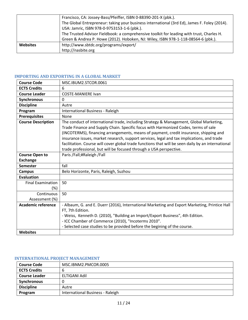|                 | Francisco, CA: Jossey-Bass/Pfeiffer, ISBN 0-88390-201-X (pbk.).                              |
|-----------------|----------------------------------------------------------------------------------------------|
|                 | The Global Entrepreneur: taking your business international (3rd Ed), James F. Foley (2014). |
|                 | USA: Jamric, ISBN 978-0-9753153-1-6 (pbk.).                                                  |
|                 | The Trusted Advisor Fieldbook: a comprehensive toolkit for leading with trust, Charles H.    |
|                 | Green & Andrea P. Howe (2012). Hoboken, NJ: Wiley, ISBN 978-1-118-08564-6 (pbk.).            |
| <b>Websites</b> | http://www.sbtdc.org/programs/export/                                                        |
|                 | http://nasbite.org                                                                           |

## <span id="page-10-0"></span>**IMPORTING AND EXPORTING IN A GLOBAL MARKET**

| <b>Course Code</b>              | MSC.IBUM2.STCOR.0061                                                                                                                                                                                                                                                                                                                                                                                                                                                                                                                             |
|---------------------------------|--------------------------------------------------------------------------------------------------------------------------------------------------------------------------------------------------------------------------------------------------------------------------------------------------------------------------------------------------------------------------------------------------------------------------------------------------------------------------------------------------------------------------------------------------|
| <b>ECTS Credits</b>             | 6                                                                                                                                                                                                                                                                                                                                                                                                                                                                                                                                                |
| <b>Course Leader</b>            | <b>COSTE-MANIERE Ivan</b>                                                                                                                                                                                                                                                                                                                                                                                                                                                                                                                        |
| Synchronous                     | $\mathbf{0}$                                                                                                                                                                                                                                                                                                                                                                                                                                                                                                                                     |
| <b>Discipline</b>               | Autre                                                                                                                                                                                                                                                                                                                                                                                                                                                                                                                                            |
| Program                         | International Business - Raleigh                                                                                                                                                                                                                                                                                                                                                                                                                                                                                                                 |
| <b>Prerequisites</b>            | None                                                                                                                                                                                                                                                                                                                                                                                                                                                                                                                                             |
| <b>Course Description</b>       | The conduct of international trade, including Strategy & Management, Global Marketing,<br>Trade Finance and Supply Chain. Specific focus with Harmonized Codes, terms of sale<br>(INCOTERMS), financing arrangements, means of payment, credit insurance, shipping and<br>insurance issues, market research, support services, legal and tax implications, and trade<br>facilitation. Course will cover global trade functions that will be seen daily by an international<br>trade professional, but will be focused through a USA perspective. |
| <b>Course Open to</b>           | Paris /Fall;#Raleigh /Fall                                                                                                                                                                                                                                                                                                                                                                                                                                                                                                                       |
| <b>Exchange</b>                 |                                                                                                                                                                                                                                                                                                                                                                                                                                                                                                                                                  |
| <b>Semester</b>                 | fall                                                                                                                                                                                                                                                                                                                                                                                                                                                                                                                                             |
| <b>Campus</b>                   | Belo Horizonte, Paris, Raleigh, Suzhou                                                                                                                                                                                                                                                                                                                                                                                                                                                                                                           |
| <b>Evaluation</b>               |                                                                                                                                                                                                                                                                                                                                                                                                                                                                                                                                                  |
| <b>Final Examination</b><br>(%) | 50                                                                                                                                                                                                                                                                                                                                                                                                                                                                                                                                               |
| Continuous<br>Assessment (%)    | 50                                                                                                                                                                                                                                                                                                                                                                                                                                                                                                                                               |
| <b>Academic reference</b>       | - Albaum, G. and E. Duerr (2016), International Marketing and Export Marketing, Printice Hall<br>FT, 7th Edition.<br>- Weiss, Kenneth D. (2010), "Building an Import/Export Business", 4th Edition.<br>- ICC Chamber of Commerce (2010), "Incoterms 2010".<br>- Selected case studies to be provided before the begining of the course.                                                                                                                                                                                                          |
| <b>Websites</b>                 |                                                                                                                                                                                                                                                                                                                                                                                                                                                                                                                                                  |

# <span id="page-10-1"></span>**INTERNATIONAL PROJECT MANAGEMENT**

| <b>Course Code</b>   | MSC.IBNM2.PMCOR.0005             |
|----------------------|----------------------------------|
| <b>ECTS Credits</b>  | b                                |
| <b>Course Leader</b> | ELTIGANI Adil                    |
| <b>Synchronous</b>   |                                  |
| <b>Discipline</b>    | Autre                            |
| Program              | International Business - Raleigh |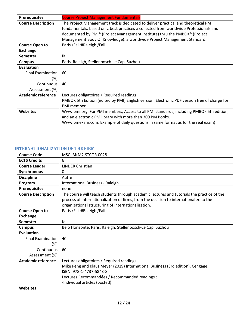| <b>Prerequisites</b>      | <b>Course Project Management Fundamentals</b>                                                |
|---------------------------|----------------------------------------------------------------------------------------------|
| <b>Course Description</b> | The Project Management track is dedicated to deliver practical and theoretical PM            |
|                           | fundamentals. based on « best practices » collected from worldwide Professionals and         |
|                           | documented by PMI® (Project Management Institute) thru the PMBOK® (Project                   |
|                           | Management Body Of Knowledge), a worldwide Project Management Standard.                      |
| <b>Course Open to</b>     | Paris /Fall;#Raleigh /Fall                                                                   |
| <b>Exchange</b>           |                                                                                              |
| <b>Semester</b>           | fall                                                                                         |
| Campus                    | Paris, Raleigh, Stellenbosch-Le Cap, Suzhou                                                  |
| <b>Evaluation</b>         |                                                                                              |
| <b>Final Examination</b>  | 60                                                                                           |
| (%)                       |                                                                                              |
| Continuous                | 40                                                                                           |
| Assessment (%)            |                                                                                              |
| Academic reference        | Lectures obligatoires / Required readings :                                                  |
|                           | PMBOK 5th Edition (edited by PMI) English version. Electronic PDF version free of charge for |
|                           | PMI member                                                                                   |
| <b>Websites</b>           | Www.pmi.org: For PMI members, Access to all PMI standards, including PMBOK 5th edition,      |
|                           | and an electronic PM library with more than 300 PM Books.                                    |
|                           | Www.pmexam.com: Example of daily questions in same format as for the real exam)              |

#### <span id="page-11-0"></span>**INTERNATIONALIZATION OF THE FIRM**

| <b>Course Code</b>                 | MSC.IBNM2.STCOR.0028                                                                                                                                                                                                                          |
|------------------------------------|-----------------------------------------------------------------------------------------------------------------------------------------------------------------------------------------------------------------------------------------------|
| <b>ECTS Credits</b>                | 6                                                                                                                                                                                                                                             |
| <b>Course Leader</b>               | <b>LINDER Christian</b>                                                                                                                                                                                                                       |
| Synchronous                        | $\mathbf{0}$                                                                                                                                                                                                                                  |
| <b>Discipline</b>                  | Autre                                                                                                                                                                                                                                         |
| Program                            | International Business - Raleigh                                                                                                                                                                                                              |
| <b>Prerequisites</b>               | none                                                                                                                                                                                                                                          |
| <b>Course Description</b>          | The course will teach students through academic lectures and tutorials the practice of the<br>process of internationalization of firms, from the decision to internationalize to the<br>organizational structuring of internationalization.   |
| <b>Course Open to</b>              | Paris /Fall;#Raleigh /Fall                                                                                                                                                                                                                    |
| <b>Exchange</b>                    |                                                                                                                                                                                                                                               |
| <b>Semester</b>                    | fall                                                                                                                                                                                                                                          |
| <b>Campus</b>                      | Belo Horizonte, Paris, Raleigh, Stellenbosch-Le Cap, Suzhou                                                                                                                                                                                   |
| <b>Evaluation</b>                  |                                                                                                                                                                                                                                               |
| <b>Final Examination</b><br>$(\%)$ | 40                                                                                                                                                                                                                                            |
| Continuous<br>Assessment (%)       | 60                                                                                                                                                                                                                                            |
| Academic reference                 | Lectures obligatoires / Required readings :<br>Mike Peng and Klaus Meyer (2019) International Business (3rd edition), Cengage.<br>ISBN: 978-1-4737-5843-8.<br>Lectures Recommandées / Recommanded readings :<br>-Individual articles (posted) |
| <b>Websites</b>                    |                                                                                                                                                                                                                                               |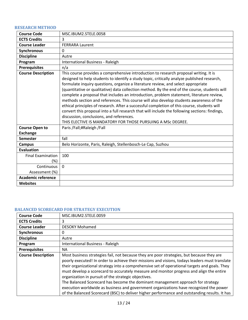## <span id="page-12-0"></span>**RESEARCH METHOD**

| <b>Course Code</b>        | MSC.IBUM2.STELE.0058                                                                                                                                                                                                                                                                                                                                                                                                                                                                                                                                                                                                                                                                                                                                                                                                                                                          |
|---------------------------|-------------------------------------------------------------------------------------------------------------------------------------------------------------------------------------------------------------------------------------------------------------------------------------------------------------------------------------------------------------------------------------------------------------------------------------------------------------------------------------------------------------------------------------------------------------------------------------------------------------------------------------------------------------------------------------------------------------------------------------------------------------------------------------------------------------------------------------------------------------------------------|
| <b>ECTS Credits</b>       | 3                                                                                                                                                                                                                                                                                                                                                                                                                                                                                                                                                                                                                                                                                                                                                                                                                                                                             |
| <b>Course Leader</b>      | <b>FERRARA Laurent</b>                                                                                                                                                                                                                                                                                                                                                                                                                                                                                                                                                                                                                                                                                                                                                                                                                                                        |
| Synchronous               | 0                                                                                                                                                                                                                                                                                                                                                                                                                                                                                                                                                                                                                                                                                                                                                                                                                                                                             |
| <b>Discipline</b>         | Autre                                                                                                                                                                                                                                                                                                                                                                                                                                                                                                                                                                                                                                                                                                                                                                                                                                                                         |
| Program                   | International Business - Raleigh                                                                                                                                                                                                                                                                                                                                                                                                                                                                                                                                                                                                                                                                                                                                                                                                                                              |
| <b>Prerequisites</b>      | n/a                                                                                                                                                                                                                                                                                                                                                                                                                                                                                                                                                                                                                                                                                                                                                                                                                                                                           |
| <b>Course Description</b> | This course provides a comprehensive introduction to research proposal writing. It is<br>designed to help students to identify a study topic, critically analyze published research,<br>formulate inquiry questions, organize a literature review, and select appropriate<br>(quantitative or qualitative) data collection method. By the end of the course, students will<br>complete a proposal that includes an introduction, problem statement, literature review,<br>methods section and references. This course will also develop students awareness of the<br>ethical principles of research. After a successful completion of this course, students will<br>convert this proposal into a full research that will include the following sections: findings,<br>discussion, conclusions, and references.<br>THIS ELECTIVE IS MANDATORY FOR THOSE PURSUING A MSC DEGREE. |
| <b>Course Open to</b>     | Paris /Fall;#Raleigh /Fall                                                                                                                                                                                                                                                                                                                                                                                                                                                                                                                                                                                                                                                                                                                                                                                                                                                    |
| <b>Exchange</b>           |                                                                                                                                                                                                                                                                                                                                                                                                                                                                                                                                                                                                                                                                                                                                                                                                                                                                               |
| <b>Semester</b>           | fall                                                                                                                                                                                                                                                                                                                                                                                                                                                                                                                                                                                                                                                                                                                                                                                                                                                                          |
| <b>Campus</b>             | Belo Horizonte, Paris, Raleigh, Stellenbosch-Le Cap, Suzhou                                                                                                                                                                                                                                                                                                                                                                                                                                                                                                                                                                                                                                                                                                                                                                                                                   |
| <b>Evaluation</b>         |                                                                                                                                                                                                                                                                                                                                                                                                                                                                                                                                                                                                                                                                                                                                                                                                                                                                               |
| <b>Final Examination</b>  | 100                                                                                                                                                                                                                                                                                                                                                                                                                                                                                                                                                                                                                                                                                                                                                                                                                                                                           |
| $(\%)$                    |                                                                                                                                                                                                                                                                                                                                                                                                                                                                                                                                                                                                                                                                                                                                                                                                                                                                               |
| Continuous                | $\Omega$                                                                                                                                                                                                                                                                                                                                                                                                                                                                                                                                                                                                                                                                                                                                                                                                                                                                      |
| Assessment (%)            |                                                                                                                                                                                                                                                                                                                                                                                                                                                                                                                                                                                                                                                                                                                                                                                                                                                                               |
| <b>Academic reference</b> |                                                                                                                                                                                                                                                                                                                                                                                                                                                                                                                                                                                                                                                                                                                                                                                                                                                                               |
| <b>Websites</b>           |                                                                                                                                                                                                                                                                                                                                                                                                                                                                                                                                                                                                                                                                                                                                                                                                                                                                               |

## <span id="page-12-1"></span>**BALANCED SCORECARD FOR STRATEGY EXECUTION**

| <b>Course Code</b>        | MSC.IBUM2.STELE.0059                                                                                                                                                                                                                                                                                                                                                                                                                                                                                                                                                                                                                                                                                                           |
|---------------------------|--------------------------------------------------------------------------------------------------------------------------------------------------------------------------------------------------------------------------------------------------------------------------------------------------------------------------------------------------------------------------------------------------------------------------------------------------------------------------------------------------------------------------------------------------------------------------------------------------------------------------------------------------------------------------------------------------------------------------------|
| <b>ECTS Credits</b>       | 3                                                                                                                                                                                                                                                                                                                                                                                                                                                                                                                                                                                                                                                                                                                              |
| <b>Course Leader</b>      | <b>DESOKY Mohamed</b>                                                                                                                                                                                                                                                                                                                                                                                                                                                                                                                                                                                                                                                                                                          |
| Synchronous               | 0                                                                                                                                                                                                                                                                                                                                                                                                                                                                                                                                                                                                                                                                                                                              |
| <b>Discipline</b>         | Autre                                                                                                                                                                                                                                                                                                                                                                                                                                                                                                                                                                                                                                                                                                                          |
| Program                   | International Business - Raleigh                                                                                                                                                                                                                                                                                                                                                                                                                                                                                                                                                                                                                                                                                               |
| <b>Prerequisites</b>      | <b>NA</b>                                                                                                                                                                                                                                                                                                                                                                                                                                                                                                                                                                                                                                                                                                                      |
| <b>Course Description</b> | Most business strategies fail, not because they are poor strategies, but because they are<br>poorly executed! In order to achieve their missions and visions, todays leaders must translate<br>their organizational strategy into a comprehensive set of operational targets and goals. They<br>must develop a scorecard to accurately measure and monitor progress and align the entire<br>organization in pursuit of the strategic objectives.<br>The Balanced Scorecard has become the dominant management approach for strategy<br>execution worldwide as business and government organizations have recognized the power<br>of the Balanced Scorecard (BSC) to deliver higher performance and outstanding results. It has |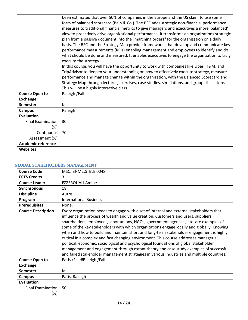|                           | been estimated that over 50% of companies in the Europe and the US claim to use some                                 |
|---------------------------|----------------------------------------------------------------------------------------------------------------------|
|                           | form of balanced scorecard (Bain & Co.). The BSC adds strategic non-financial performance                            |
|                           | measures to traditional financial metrics to give managers and executives a more 'balanced'                          |
|                           | view to proactively drive organizational performance. It transforms an organizations strategic                       |
|                           | plan from a passive document into the "marching orders" for the organization on a daily                              |
|                           | basis. The BSC and the Strategy Map provide frameworks that develop and communicate key                              |
|                           | performance measurements (KPIs) enabling management and employees to identify and do                                 |
|                           | what should be done and measured. It enables executives to engage the organization to truly<br>execute the strategy. |
|                           | In this course, you will have the opportunity to work with companies like Uber, H&M, and                             |
|                           | TripAdvisor to deepen your understanding on how to effectively execute strategy, measure                             |
|                           | performance and manage change within the organization, with the Balanced Scorecard and                               |
|                           | Strategy Map through lectures, exercises, case studies, simulations, and group discussions.                          |
|                           | This will be a highly interactive class.                                                                             |
| <b>Course Open to</b>     | Raleigh / Fall                                                                                                       |
| <b>Exchange</b>           |                                                                                                                      |
|                           | fall                                                                                                                 |
| <b>Semester</b>           |                                                                                                                      |
| <b>Campus</b>             | Raleigh                                                                                                              |
| <b>Evaluation</b>         |                                                                                                                      |
| <b>Final Examination</b>  | 30                                                                                                                   |
| $(\%)$                    |                                                                                                                      |
| Continuous                | 70                                                                                                                   |
| Assessment (%)            |                                                                                                                      |
| <b>Academic reference</b> |                                                                                                                      |
| <b>Websites</b>           |                                                                                                                      |

#### <span id="page-13-0"></span>**GLOBAL STAKEHOLDERS MANAGEMENT**

| <b>Course Code</b>              | MSC.IBNM2.STELE.0048                                                                                                                                                                                                                                                                                                                                                                                                                                                                                                                                                                                                                                                                                                                                                                                                                         |
|---------------------------------|----------------------------------------------------------------------------------------------------------------------------------------------------------------------------------------------------------------------------------------------------------------------------------------------------------------------------------------------------------------------------------------------------------------------------------------------------------------------------------------------------------------------------------------------------------------------------------------------------------------------------------------------------------------------------------------------------------------------------------------------------------------------------------------------------------------------------------------------|
| <b>ECTS Credits</b>             | 3                                                                                                                                                                                                                                                                                                                                                                                                                                                                                                                                                                                                                                                                                                                                                                                                                                            |
| <b>Course Leader</b>            | <b>EZZEROUALI Amine</b>                                                                                                                                                                                                                                                                                                                                                                                                                                                                                                                                                                                                                                                                                                                                                                                                                      |
| Synchronous                     | 18                                                                                                                                                                                                                                                                                                                                                                                                                                                                                                                                                                                                                                                                                                                                                                                                                                           |
| <b>Discipline</b>               | Autre                                                                                                                                                                                                                                                                                                                                                                                                                                                                                                                                                                                                                                                                                                                                                                                                                                        |
| Program                         | <b>International Business</b>                                                                                                                                                                                                                                                                                                                                                                                                                                                                                                                                                                                                                                                                                                                                                                                                                |
| <b>Prerequisites</b>            | None.                                                                                                                                                                                                                                                                                                                                                                                                                                                                                                                                                                                                                                                                                                                                                                                                                                        |
| <b>Course Description</b>       | Every organization needs to engage with a set of internal and external stakeholders that<br>influence the process of wealth and value creation. Customers and users, suppliers,<br>shareholders, employees, labor unions, NGOs, government agencies, etc. are examples of<br>some of the key stakeholders with which organizations engage locally and globally. Knowing<br>when and how to build and maintain short and long-term stakeholder engagement is highly<br>critical in a complex and fast changing environment. This course addresses managerial,<br>political, economic, sociological and psychological foundations of global stakeholder<br>management and engagement through extant theory and case study examples of successful<br>and failed stakeholder management strategies in various industries and multiple countries. |
| <b>Course Open to</b>           | Paris /Fall;#Raleigh /Fall                                                                                                                                                                                                                                                                                                                                                                                                                                                                                                                                                                                                                                                                                                                                                                                                                   |
| <b>Exchange</b>                 |                                                                                                                                                                                                                                                                                                                                                                                                                                                                                                                                                                                                                                                                                                                                                                                                                                              |
| <b>Semester</b>                 | fall                                                                                                                                                                                                                                                                                                                                                                                                                                                                                                                                                                                                                                                                                                                                                                                                                                         |
| <b>Campus</b>                   | Paris, Raleigh                                                                                                                                                                                                                                                                                                                                                                                                                                                                                                                                                                                                                                                                                                                                                                                                                               |
| <b>Evaluation</b>               |                                                                                                                                                                                                                                                                                                                                                                                                                                                                                                                                                                                                                                                                                                                                                                                                                                              |
| <b>Final Examination</b><br>(%) | 50                                                                                                                                                                                                                                                                                                                                                                                                                                                                                                                                                                                                                                                                                                                                                                                                                                           |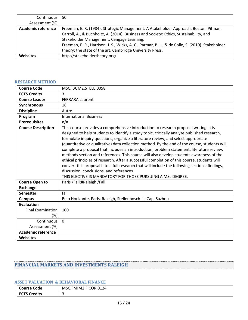| Continuous         | 50                                                                                               |
|--------------------|--------------------------------------------------------------------------------------------------|
| Assessment (%)     |                                                                                                  |
| Academic reference | Freeman, E. R. (1984). Strategic Management: A Atakeholder Approach. Boston: Pitman.             |
|                    | Carroll, A., & Buchholtz, A. (2014). Business and Society: Ethics, Sustainability, and           |
|                    | Stakeholder Management. Cengage Learning.                                                        |
|                    | Freeman, E. R., Harrison, J. S., Wicks, A. C., Parmar, B. L., & de Colle, S. (2010). Stakeholder |
|                    | theory: the state of the art. Cambridge University Press.                                        |
| <b>Websites</b>    | http://stakeholdertheory.org/                                                                    |

#### <span id="page-14-0"></span>**RESEARCH METHOD**

| <b>Course Code</b>        | MSC.IBUM2.STELE.0058                                                                                                                                                                                                                                                                                                                                                                                                                                                                                                                                                                                                                                                                                                                                                                                                                                                          |
|---------------------------|-------------------------------------------------------------------------------------------------------------------------------------------------------------------------------------------------------------------------------------------------------------------------------------------------------------------------------------------------------------------------------------------------------------------------------------------------------------------------------------------------------------------------------------------------------------------------------------------------------------------------------------------------------------------------------------------------------------------------------------------------------------------------------------------------------------------------------------------------------------------------------|
| <b>ECTS Credits</b>       | 3                                                                                                                                                                                                                                                                                                                                                                                                                                                                                                                                                                                                                                                                                                                                                                                                                                                                             |
| <b>Course Leader</b>      | <b>FERRARA Laurent</b>                                                                                                                                                                                                                                                                                                                                                                                                                                                                                                                                                                                                                                                                                                                                                                                                                                                        |
| <b>Synchronous</b>        | 18                                                                                                                                                                                                                                                                                                                                                                                                                                                                                                                                                                                                                                                                                                                                                                                                                                                                            |
| <b>Discipline</b>         | Autre                                                                                                                                                                                                                                                                                                                                                                                                                                                                                                                                                                                                                                                                                                                                                                                                                                                                         |
| Program                   | <b>International Business</b>                                                                                                                                                                                                                                                                                                                                                                                                                                                                                                                                                                                                                                                                                                                                                                                                                                                 |
| <b>Prerequisites</b>      | n/a                                                                                                                                                                                                                                                                                                                                                                                                                                                                                                                                                                                                                                                                                                                                                                                                                                                                           |
| <b>Course Description</b> | This course provides a comprehensive introduction to research proposal writing. It is<br>designed to help students to identify a study topic, critically analyze published research,<br>formulate inquiry questions, organize a literature review, and select appropriate<br>(quantitative or qualitative) data collection method. By the end of the course, students will<br>complete a proposal that includes an introduction, problem statement, literature review,<br>methods section and references. This course will also develop students awareness of the<br>ethical principles of research. After a successful completion of this course, students will<br>convert this proposal into a full research that will include the following sections: findings,<br>discussion, conclusions, and references.<br>THIS ELECTIVE IS MANDATORY FOR THOSE PURSUING A MSc DEGREE. |
| <b>Course Open to</b>     | Paris /Fall;#Raleigh /Fall                                                                                                                                                                                                                                                                                                                                                                                                                                                                                                                                                                                                                                                                                                                                                                                                                                                    |
| <b>Exchange</b>           |                                                                                                                                                                                                                                                                                                                                                                                                                                                                                                                                                                                                                                                                                                                                                                                                                                                                               |
| <b>Semester</b>           | fall                                                                                                                                                                                                                                                                                                                                                                                                                                                                                                                                                                                                                                                                                                                                                                                                                                                                          |
| <b>Campus</b>             | Belo Horizonte, Paris, Raleigh, Stellenbosch-Le Cap, Suzhou                                                                                                                                                                                                                                                                                                                                                                                                                                                                                                                                                                                                                                                                                                                                                                                                                   |
| <b>Evaluation</b>         |                                                                                                                                                                                                                                                                                                                                                                                                                                                                                                                                                                                                                                                                                                                                                                                                                                                                               |
| <b>Final Examination</b>  | 100                                                                                                                                                                                                                                                                                                                                                                                                                                                                                                                                                                                                                                                                                                                                                                                                                                                                           |
| $(\%)$                    |                                                                                                                                                                                                                                                                                                                                                                                                                                                                                                                                                                                                                                                                                                                                                                                                                                                                               |
| Continuous                | $\mathbf{0}$                                                                                                                                                                                                                                                                                                                                                                                                                                                                                                                                                                                                                                                                                                                                                                                                                                                                  |
| Assessment (%)            |                                                                                                                                                                                                                                                                                                                                                                                                                                                                                                                                                                                                                                                                                                                                                                                                                                                                               |
| <b>Academic reference</b> |                                                                                                                                                                                                                                                                                                                                                                                                                                                                                                                                                                                                                                                                                                                                                                                                                                                                               |
| Websites                  |                                                                                                                                                                                                                                                                                                                                                                                                                                                                                                                                                                                                                                                                                                                                                                                                                                                                               |

## <span id="page-14-1"></span>**FINANCIAL MARKETS AND INVESTMENTS RALEIGH**

## <span id="page-14-2"></span>**ASSET VALUATION & BEHAVIORAL FINANCE**

| <b>Course Code</b>  | MSC.FMIM2.FICOR.0124 |
|---------------------|----------------------|
| <b>ECTS Credits</b> |                      |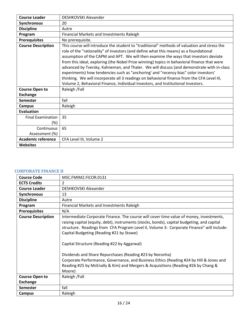| <b>Course Leader</b>      | DESHKOVSKI Alexander                                                                        |
|---------------------------|---------------------------------------------------------------------------------------------|
| <b>Synchronous</b>        | 20                                                                                          |
| <b>Discipline</b>         | Autre                                                                                       |
| Program                   | Financial Markets and Investments Raleigh                                                   |
| <b>Prerequisites</b>      | No prerequisite.                                                                            |
| <b>Course Description</b> | This course will introduce the student to "traditional" methods of valuation and stress the |
|                           | role of the "rationality" of investors (and define what this means) as a foundational       |
|                           | assumption of the CAPM and APT. We will then examine the ways that investors deviate        |
|                           | from this ideal, exploring (the Nobel Prize winning) topics in behavioral finance that were |
|                           | advanced by Tversky, Kahneman, and Thaler. We will discuss (and demonstrate with in-class   |
|                           | experiments) how tendencies such as "anchoring' and "recency bias" color investors'         |
|                           | thinking. We will incorporate all 3 readings on behavioral finance from the CFA Level III,  |
|                           | Volume 2, Behavioral Finance, Individual Investors, and Institutional Investors.            |
| <b>Course Open to</b>     | Raleigh / Fall                                                                              |
| <b>Exchange</b>           |                                                                                             |
| <b>Semester</b>           | fall                                                                                        |
| Campus                    | Raleigh                                                                                     |
| <b>Evaluation</b>         |                                                                                             |
| <b>Final Examination</b>  | 35                                                                                          |
| $(\%)$                    |                                                                                             |
| Continuous                | 65                                                                                          |
| Assessment (%)            |                                                                                             |
| <b>Academic reference</b> | CFA Level III, Volume 2                                                                     |
| <b>Websites</b>           |                                                                                             |

#### <span id="page-15-0"></span>**CORPORATE FINANCE II**

| <b>Course Code</b>        | MSC.FMIM2.FICOR.0131                                                                                                                                                                                                                                                                                                                                                                                                                                                                                                                                                                                                                 |
|---------------------------|--------------------------------------------------------------------------------------------------------------------------------------------------------------------------------------------------------------------------------------------------------------------------------------------------------------------------------------------------------------------------------------------------------------------------------------------------------------------------------------------------------------------------------------------------------------------------------------------------------------------------------------|
| <b>ECTS Credits</b>       | $\overline{2}$                                                                                                                                                                                                                                                                                                                                                                                                                                                                                                                                                                                                                       |
| <b>Course Leader</b>      | DESHKOVSKI Alexander                                                                                                                                                                                                                                                                                                                                                                                                                                                                                                                                                                                                                 |
| <b>Synchronous</b>        | 13                                                                                                                                                                                                                                                                                                                                                                                                                                                                                                                                                                                                                                   |
| <b>Discipline</b>         | Autre                                                                                                                                                                                                                                                                                                                                                                                                                                                                                                                                                                                                                                |
| Program                   | Financial Markets and Investments Raleigh                                                                                                                                                                                                                                                                                                                                                                                                                                                                                                                                                                                            |
| <b>Prerequisites</b>      | N/A                                                                                                                                                                                                                                                                                                                                                                                                                                                                                                                                                                                                                                  |
| <b>Course Description</b> | Intermediate Corporate Finance. The course will cover time value of money, investments,<br>raising capital (equity, debt), instruments (stocks, bonds), capital budgeting, and capital<br>structure. Readings from CFA Program Level II, Volume 3: Corporate Finance" will include:<br>Capital Budgeting (Reading #21 by Stowe)<br>Capital Structure (Reading #22 by Aggarwal)<br>Dividends and Share Repurchases (Reading #23 by Noronha)<br>Corporate Performance, Governance, and Business Ethics (Reading #24 by Hill & Jones and<br>Reading #25 by McEnally & Kim) and Mergers & Acquisitions (Reading #26 by Chang &<br>Moore) |
| <b>Course Open to</b>     | Raleigh / Fall                                                                                                                                                                                                                                                                                                                                                                                                                                                                                                                                                                                                                       |
| <b>Exchange</b>           |                                                                                                                                                                                                                                                                                                                                                                                                                                                                                                                                                                                                                                      |
| <b>Semester</b>           | fall                                                                                                                                                                                                                                                                                                                                                                                                                                                                                                                                                                                                                                 |
| Campus                    | Raleigh                                                                                                                                                                                                                                                                                                                                                                                                                                                                                                                                                                                                                              |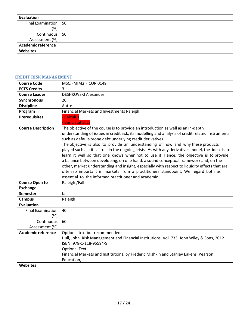| Evaluation                |  |
|---------------------------|--|
| Final Examination   50    |  |
| (%)                       |  |
| Continuous   50           |  |
| Assessment (%)            |  |
| <b>Academic reference</b> |  |
| Websites                  |  |

#### <span id="page-16-0"></span>**CREDIT RISK MANAGEMENT**

| <b>Course Code</b>           | MSC.FMIM2.FICOR.0149                                                                                                                                                                                                                                                                                                                                                                                                                                                                                                                                                                                                                                                                                                                                                                                                                                                    |
|------------------------------|-------------------------------------------------------------------------------------------------------------------------------------------------------------------------------------------------------------------------------------------------------------------------------------------------------------------------------------------------------------------------------------------------------------------------------------------------------------------------------------------------------------------------------------------------------------------------------------------------------------------------------------------------------------------------------------------------------------------------------------------------------------------------------------------------------------------------------------------------------------------------|
| <b>ECTS Credits</b>          | 3                                                                                                                                                                                                                                                                                                                                                                                                                                                                                                                                                                                                                                                                                                                                                                                                                                                                       |
| <b>Course Leader</b>         | DESHKOVSKI Alexander                                                                                                                                                                                                                                                                                                                                                                                                                                                                                                                                                                                                                                                                                                                                                                                                                                                    |
| Synchronous                  | 20                                                                                                                                                                                                                                                                                                                                                                                                                                                                                                                                                                                                                                                                                                                                                                                                                                                                      |
| <b>Discipline</b>            | Autre                                                                                                                                                                                                                                                                                                                                                                                                                                                                                                                                                                                                                                                                                                                                                                                                                                                                   |
| Program                      | Financial Markets and Investments Raleigh                                                                                                                                                                                                                                                                                                                                                                                                                                                                                                                                                                                                                                                                                                                                                                                                                               |
| <b>Prerequisites</b>         | <b>Calculus</b><br><b>Basic statistics</b>                                                                                                                                                                                                                                                                                                                                                                                                                                                                                                                                                                                                                                                                                                                                                                                                                              |
| <b>Course Description</b>    | The objective of the course is to provide an introduction as well as an in-depth<br>understanding of issues in credit risk, its modelling and analysis of credit related instruments<br>such as default-prone debt underlying credit derivatives.<br>The objective is also to provide an understanding of how and why these products<br>played such a critical role in the ongoing crisis. As with any derivatives model, the idea is to<br>learn it well so that one knows when not to use it! Hence, the objective is to provide<br>a balance between developing, on one hand, a sound conceptual framework and, on the<br>other, market understanding and insight, especially with respect to liquidity effects that are<br>often so important in markets from a practitioners standpoint. We regard both as<br>essential to the informed practitioner and academic. |
| <b>Course Open to</b>        | Raleigh / Fall                                                                                                                                                                                                                                                                                                                                                                                                                                                                                                                                                                                                                                                                                                                                                                                                                                                          |
| <b>Exchange</b>              |                                                                                                                                                                                                                                                                                                                                                                                                                                                                                                                                                                                                                                                                                                                                                                                                                                                                         |
| <b>Semester</b>              | fall                                                                                                                                                                                                                                                                                                                                                                                                                                                                                                                                                                                                                                                                                                                                                                                                                                                                    |
| <b>Campus</b>                | Raleigh                                                                                                                                                                                                                                                                                                                                                                                                                                                                                                                                                                                                                                                                                                                                                                                                                                                                 |
| <b>Evaluation</b>            |                                                                                                                                                                                                                                                                                                                                                                                                                                                                                                                                                                                                                                                                                                                                                                                                                                                                         |
| <b>Final Examination</b>     | 40                                                                                                                                                                                                                                                                                                                                                                                                                                                                                                                                                                                                                                                                                                                                                                                                                                                                      |
| $(\%)$                       |                                                                                                                                                                                                                                                                                                                                                                                                                                                                                                                                                                                                                                                                                                                                                                                                                                                                         |
| Continuous<br>Assessment (%) | 60                                                                                                                                                                                                                                                                                                                                                                                                                                                                                                                                                                                                                                                                                                                                                                                                                                                                      |
| <b>Academic reference</b>    | Optional text but recommended:                                                                                                                                                                                                                                                                                                                                                                                                                                                                                                                                                                                                                                                                                                                                                                                                                                          |
|                              | Hull, John. Risk Management and Financial Institutions. Vol. 733. John Wiley & Sons, 2012.<br>ISBN: 978-1-118-95594-9<br><b>Optional Text</b><br>Financial Markets and Institutions, by Frederic Mishkin and Stanley Eakens, Pearson<br>Education,                                                                                                                                                                                                                                                                                                                                                                                                                                                                                                                                                                                                                      |
| Websites                     |                                                                                                                                                                                                                                                                                                                                                                                                                                                                                                                                                                                                                                                                                                                                                                                                                                                                         |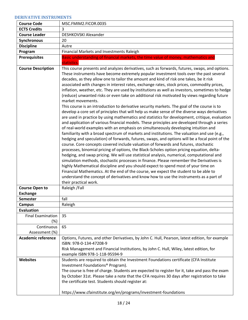#### <span id="page-17-0"></span>**DERIVATIVE INSTRUMENTS**

| <b>Course Code</b>                       | MSC.FMIM2.FICOR.0035                                                                                                                                                                                                                                                                                                                                                                                                                                                                                                                                                                                                                                                                                                                                                                                                                                                                                                                                                                                                                                                                                                                                                                                                                                                                                                                                                                                                                                                                                                                                                                                                                                                                                                                                                                                                                                                                                                                                                         |
|------------------------------------------|------------------------------------------------------------------------------------------------------------------------------------------------------------------------------------------------------------------------------------------------------------------------------------------------------------------------------------------------------------------------------------------------------------------------------------------------------------------------------------------------------------------------------------------------------------------------------------------------------------------------------------------------------------------------------------------------------------------------------------------------------------------------------------------------------------------------------------------------------------------------------------------------------------------------------------------------------------------------------------------------------------------------------------------------------------------------------------------------------------------------------------------------------------------------------------------------------------------------------------------------------------------------------------------------------------------------------------------------------------------------------------------------------------------------------------------------------------------------------------------------------------------------------------------------------------------------------------------------------------------------------------------------------------------------------------------------------------------------------------------------------------------------------------------------------------------------------------------------------------------------------------------------------------------------------------------------------------------------------|
| <b>ECTS Credits</b>                      | 3                                                                                                                                                                                                                                                                                                                                                                                                                                                                                                                                                                                                                                                                                                                                                                                                                                                                                                                                                                                                                                                                                                                                                                                                                                                                                                                                                                                                                                                                                                                                                                                                                                                                                                                                                                                                                                                                                                                                                                            |
| <b>Course Leader</b>                     | DESHKOVSKI Alexander                                                                                                                                                                                                                                                                                                                                                                                                                                                                                                                                                                                                                                                                                                                                                                                                                                                                                                                                                                                                                                                                                                                                                                                                                                                                                                                                                                                                                                                                                                                                                                                                                                                                                                                                                                                                                                                                                                                                                         |
| Synchronous                              | 20                                                                                                                                                                                                                                                                                                                                                                                                                                                                                                                                                                                                                                                                                                                                                                                                                                                                                                                                                                                                                                                                                                                                                                                                                                                                                                                                                                                                                                                                                                                                                                                                                                                                                                                                                                                                                                                                                                                                                                           |
| <b>Discipline</b>                        | Autre                                                                                                                                                                                                                                                                                                                                                                                                                                                                                                                                                                                                                                                                                                                                                                                                                                                                                                                                                                                                                                                                                                                                                                                                                                                                                                                                                                                                                                                                                                                                                                                                                                                                                                                                                                                                                                                                                                                                                                        |
| Program                                  | Financial Markets and Investments Raleigh                                                                                                                                                                                                                                                                                                                                                                                                                                                                                                                                                                                                                                                                                                                                                                                                                                                                                                                                                                                                                                                                                                                                                                                                                                                                                                                                                                                                                                                                                                                                                                                                                                                                                                                                                                                                                                                                                                                                    |
| <b>Prerequisites</b>                     | Basic understanding of financial markets, the time value of money, mathematics and<br>statistics.                                                                                                                                                                                                                                                                                                                                                                                                                                                                                                                                                                                                                                                                                                                                                                                                                                                                                                                                                                                                                                                                                                                                                                                                                                                                                                                                                                                                                                                                                                                                                                                                                                                                                                                                                                                                                                                                            |
| <b>Course Description</b>                | This course presents and analyzes derivatives, such as forwards, futures, swaps, and options.<br>These instruments have become extremely popular investment tools over the past several<br>decades, as they allow one to tailor the amount and kind of risk one takes, be it risk<br>associated with changes in interest rates, exchange rates, stock prices, commodity prices,<br>inflation, weather, etc. They are used by institutions as well as investors, sometimes to hedge<br>(reduce) unwanted risks or even take on additional risk motivated by views regarding future<br>market movements.<br>This course is an introduction to derivative security markets. The goal of the course is to<br>develop a core set of principles that will help us make sense of the diverse ways derivatives<br>are used in practice by using mathematics and statistics for development, critique, evaluation<br>and application of various financial models. These principles are developed through a series<br>of real-world examples with an emphasis on simultaneously developing intuition and<br>familiarity with a broad spectrum of markets and institutions. The valuation and use (e.g.,<br>hedging and speculation) of forwards, futures, swaps, and options will be a focal point of the<br>course. Core concepts covered include valuation of forwards and futures, stochastic<br>processes, binomial pricing of options, the Black-Scholes option pricing equation, delta-<br>hedging, and swap pricing. We will use statistical analysis, numerical, computational and<br>simulation methods, stochastic processes in finance. Please remember the Derivatives is<br>highly Mathematical discipline and you should expect to spend most of your time on<br>Financial Mathematics. At the end of the course, we expect the student to be able to<br>understand the concept of derivatives and know how to use the instruments as a part of<br>their practical work. |
| <b>Course Open to</b><br><b>Exchange</b> | Raleigh / Fall                                                                                                                                                                                                                                                                                                                                                                                                                                                                                                                                                                                                                                                                                                                                                                                                                                                                                                                                                                                                                                                                                                                                                                                                                                                                                                                                                                                                                                                                                                                                                                                                                                                                                                                                                                                                                                                                                                                                                               |
| <b>Semester</b>                          | fall                                                                                                                                                                                                                                                                                                                                                                                                                                                                                                                                                                                                                                                                                                                                                                                                                                                                                                                                                                                                                                                                                                                                                                                                                                                                                                                                                                                                                                                                                                                                                                                                                                                                                                                                                                                                                                                                                                                                                                         |
| <b>Campus</b>                            | Raleigh                                                                                                                                                                                                                                                                                                                                                                                                                                                                                                                                                                                                                                                                                                                                                                                                                                                                                                                                                                                                                                                                                                                                                                                                                                                                                                                                                                                                                                                                                                                                                                                                                                                                                                                                                                                                                                                                                                                                                                      |
| <b>Evaluation</b>                        |                                                                                                                                                                                                                                                                                                                                                                                                                                                                                                                                                                                                                                                                                                                                                                                                                                                                                                                                                                                                                                                                                                                                                                                                                                                                                                                                                                                                                                                                                                                                                                                                                                                                                                                                                                                                                                                                                                                                                                              |
| <b>Final Examination</b><br>(%)          | 35                                                                                                                                                                                                                                                                                                                                                                                                                                                                                                                                                                                                                                                                                                                                                                                                                                                                                                                                                                                                                                                                                                                                                                                                                                                                                                                                                                                                                                                                                                                                                                                                                                                                                                                                                                                                                                                                                                                                                                           |
| Continuous<br>Assessment (%)             | 65                                                                                                                                                                                                                                                                                                                                                                                                                                                                                                                                                                                                                                                                                                                                                                                                                                                                                                                                                                                                                                                                                                                                                                                                                                                                                                                                                                                                                                                                                                                                                                                                                                                                                                                                                                                                                                                                                                                                                                           |
| <b>Academic reference</b>                | Options, Futures, and other Derivatives, by John C. Hull, Pearson, latest edition, for example<br>ISBN: 978-0-134-47208-9<br>Risk Management and Financial Institutions, by John C. Hull, Wiley, latest edition, for<br>example ISBN 978-1-118-95594-9                                                                                                                                                                                                                                                                                                                                                                                                                                                                                                                                                                                                                                                                                                                                                                                                                                                                                                                                                                                                                                                                                                                                                                                                                                                                                                                                                                                                                                                                                                                                                                                                                                                                                                                       |
| <b>Websites</b>                          | Students are required to obtain the Investment Foundations certificate (CFA Institute<br>Investment Foundations <sup>®</sup> Program).<br>The course is free of charge. Students are expected to register for it, take and pass the exam<br>by October 31st. Please take a note that the CFA requires 30 days after registration to take<br>the certificate test. Students should register at:<br>https://www.cfainstitute.org/en/programs/investment-foundations                                                                                                                                                                                                                                                                                                                                                                                                                                                                                                                                                                                                                                                                                                                                                                                                                                                                                                                                                                                                                                                                                                                                                                                                                                                                                                                                                                                                                                                                                                            |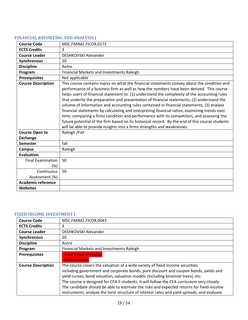#### <span id="page-18-0"></span>**FINANCIAL REPORTING AND ANALYSIS I**

| <b>Course Code</b>                       | MSC.FMIM2.FICOR.0173                                                                                                                                                                                                                                                                                                                                                                                                                                                                                                                                                                                                                                                                                                                                                                                                                                          |
|------------------------------------------|---------------------------------------------------------------------------------------------------------------------------------------------------------------------------------------------------------------------------------------------------------------------------------------------------------------------------------------------------------------------------------------------------------------------------------------------------------------------------------------------------------------------------------------------------------------------------------------------------------------------------------------------------------------------------------------------------------------------------------------------------------------------------------------------------------------------------------------------------------------|
| <b>ECTS Credits</b>                      | 3                                                                                                                                                                                                                                                                                                                                                                                                                                                                                                                                                                                                                                                                                                                                                                                                                                                             |
| <b>Course Leader</b>                     | DESHKOVSKI Alexander                                                                                                                                                                                                                                                                                                                                                                                                                                                                                                                                                                                                                                                                                                                                                                                                                                          |
| <b>Synchronous</b>                       | 20                                                                                                                                                                                                                                                                                                                                                                                                                                                                                                                                                                                                                                                                                                                                                                                                                                                            |
| <b>Discipline</b>                        | Autre                                                                                                                                                                                                                                                                                                                                                                                                                                                                                                                                                                                                                                                                                                                                                                                                                                                         |
| Program                                  | Financial Markets and Investments Raleigh                                                                                                                                                                                                                                                                                                                                                                                                                                                                                                                                                                                                                                                                                                                                                                                                                     |
| <b>Prerequisites</b>                     | Not applicable                                                                                                                                                                                                                                                                                                                                                                                                                                                                                                                                                                                                                                                                                                                                                                                                                                                |
| <b>Course Description</b>                | This course contains topics on what the financial statements convey about the condition and<br>performance of a business firm as well as how the numbers have been derived. This course<br>helps users of financial statement to: (1) understand the complexity of the accounting rules<br>that underlie the preparation and presentation of financial statements; (2) understand the<br>volume of information and accounting rules contained in financial statements; (3) analyse<br>financial statements by calculating and interpreting financial ratios, examining trends over<br>time, comparing a firms condition and performance with its competitors, and assessing the<br>future potential of the firm based on its historical record. By the end of this course students<br>will be able to provide insights into a firms strengths and weaknesses. |
| <b>Course Open to</b><br><b>Exchange</b> | Raleigh /Fall                                                                                                                                                                                                                                                                                                                                                                                                                                                                                                                                                                                                                                                                                                                                                                                                                                                 |
| <b>Semester</b>                          | fall                                                                                                                                                                                                                                                                                                                                                                                                                                                                                                                                                                                                                                                                                                                                                                                                                                                          |
| <b>Campus</b>                            | Raleigh                                                                                                                                                                                                                                                                                                                                                                                                                                                                                                                                                                                                                                                                                                                                                                                                                                                       |
| <b>Evaluation</b>                        |                                                                                                                                                                                                                                                                                                                                                                                                                                                                                                                                                                                                                                                                                                                                                                                                                                                               |
| <b>Final Examination</b><br>$(\%)$       | 50                                                                                                                                                                                                                                                                                                                                                                                                                                                                                                                                                                                                                                                                                                                                                                                                                                                            |
| Continuous                               | 50                                                                                                                                                                                                                                                                                                                                                                                                                                                                                                                                                                                                                                                                                                                                                                                                                                                            |
| Assessment (%)                           |                                                                                                                                                                                                                                                                                                                                                                                                                                                                                                                                                                                                                                                                                                                                                                                                                                                               |
| <b>Academic reference</b>                |                                                                                                                                                                                                                                                                                                                                                                                                                                                                                                                                                                                                                                                                                                                                                                                                                                                               |
| <b>Websites</b>                          |                                                                                                                                                                                                                                                                                                                                                                                                                                                                                                                                                                                                                                                                                                                                                                                                                                                               |

#### <span id="page-18-1"></span>**FIXED INCOME INVESTMENT I**

| <b>Course Code</b>        | MSC.FMIM2.FICOR.0043                                                                        |
|---------------------------|---------------------------------------------------------------------------------------------|
| <b>ECTS Credits</b>       | 3                                                                                           |
| <b>Course Leader</b>      | DESHKOVSKI Alexander                                                                        |
| Synchronous               | 20                                                                                          |
| <b>Discipline</b>         | Autre                                                                                       |
| Program                   | Financial Markets and Investments Raleigh                                                   |
| <b>Prerequisites</b>      | - Time value of money                                                                       |
|                           | <b>Basic calculus</b>                                                                       |
| <b>Course Description</b> | The course covers the valuation of a wide variety of fixed income securities                |
|                           | including government and corporate bonds, pure discount and coupon bonds, yields and        |
|                           | yield curves, bond valuation, valuation models (including binomial trees), etc.             |
|                           | The course is designed for CFA II students. It will follow the CFA curriculum very closely. |
|                           | The candidate should be able to estimate the risks and expected returns for fixed-income    |
|                           | instruments, analyze the term structure of interest rates and yield spreads, and evaluate   |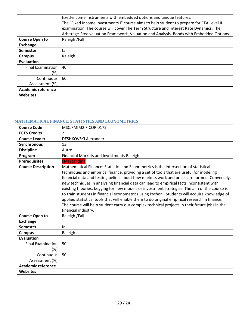|                           | fixed-income instruments with embedded options and unique features.                      |
|---------------------------|------------------------------------------------------------------------------------------|
|                           | The "Fixed Income Investments I" course aims to help student to prepare for CFA Level II |
|                           | examination. The course will cover The Term Structure and Interest Rate Dynamics, The    |
|                           | Arbitrage-Free valuation Framework, Valuation and Analysis, Bonds with Embedded Options. |
| <b>Course Open to</b>     | Raleigh / Fall                                                                           |
| <b>Exchange</b>           |                                                                                          |
| <b>Semester</b>           | fall                                                                                     |
| Campus                    | Raleigh                                                                                  |
| <b>Evaluation</b>         |                                                                                          |
| <b>Final Examination</b>  | 40                                                                                       |
| (%)                       |                                                                                          |
| Continuous                | 60                                                                                       |
| Assessment (%)            |                                                                                          |
| <b>Academic reference</b> |                                                                                          |
| <b>Websites</b>           |                                                                                          |

## <span id="page-19-0"></span>**MATHEMATICAL FINANCE: STATISTICS AND ECONOMETRICS**

| <b>Course Code</b>                       | MSC.FMIM2.FICOR.0172                                                                                                                                                                                                                                                                                                                                                                                                                                                                                                                                                                                                                                                                                                                                                                                 |
|------------------------------------------|------------------------------------------------------------------------------------------------------------------------------------------------------------------------------------------------------------------------------------------------------------------------------------------------------------------------------------------------------------------------------------------------------------------------------------------------------------------------------------------------------------------------------------------------------------------------------------------------------------------------------------------------------------------------------------------------------------------------------------------------------------------------------------------------------|
| <b>ECTS Credits</b>                      | 2                                                                                                                                                                                                                                                                                                                                                                                                                                                                                                                                                                                                                                                                                                                                                                                                    |
| <b>Course Leader</b>                     | DESHKOVSKI Alexander                                                                                                                                                                                                                                                                                                                                                                                                                                                                                                                                                                                                                                                                                                                                                                                 |
| Synchronous                              | 13                                                                                                                                                                                                                                                                                                                                                                                                                                                                                                                                                                                                                                                                                                                                                                                                   |
| <b>Discipline</b>                        | Autre                                                                                                                                                                                                                                                                                                                                                                                                                                                                                                                                                                                                                                                                                                                                                                                                |
| Program                                  | Financial Markets and Investments Raleigh                                                                                                                                                                                                                                                                                                                                                                                                                                                                                                                                                                                                                                                                                                                                                            |
| <b>Prerequisites</b>                     | <b>FMI standing</b>                                                                                                                                                                                                                                                                                                                                                                                                                                                                                                                                                                                                                                                                                                                                                                                  |
| <b>Course Description</b>                | Mathematical Finance: Statistics and Econometrics is the intersection of statistical<br>techniques and empirical finance, providing a set of tools that are useful for modeling<br>financial data and testing beliefs about how markets work and prices are formed. Conversely,<br>new techniques in analyzing financial data can lead to empirical facts inconsistent with<br>existing theories, begging for new models or investment strategies. The aim of the course is<br>to train students in financial econometrics using Python. Students will acquire knowledge of<br>applied statistical tools that will enable them to do original empirical research in finance.<br>The course will help student carry out complex technical projects in their future jobs in the<br>financial industry. |
| <b>Course Open to</b><br><b>Exchange</b> | Raleigh / Fall                                                                                                                                                                                                                                                                                                                                                                                                                                                                                                                                                                                                                                                                                                                                                                                       |
| <b>Semester</b>                          | fall                                                                                                                                                                                                                                                                                                                                                                                                                                                                                                                                                                                                                                                                                                                                                                                                 |
| <b>Campus</b>                            | Raleigh                                                                                                                                                                                                                                                                                                                                                                                                                                                                                                                                                                                                                                                                                                                                                                                              |
| <b>Evaluation</b>                        |                                                                                                                                                                                                                                                                                                                                                                                                                                                                                                                                                                                                                                                                                                                                                                                                      |
| <b>Final Examination</b><br>$(\%)$       | 50                                                                                                                                                                                                                                                                                                                                                                                                                                                                                                                                                                                                                                                                                                                                                                                                   |
| Continuous                               | 50                                                                                                                                                                                                                                                                                                                                                                                                                                                                                                                                                                                                                                                                                                                                                                                                   |
| Assessment (%)                           |                                                                                                                                                                                                                                                                                                                                                                                                                                                                                                                                                                                                                                                                                                                                                                                                      |
| <b>Academic reference</b>                |                                                                                                                                                                                                                                                                                                                                                                                                                                                                                                                                                                                                                                                                                                                                                                                                      |
| <b>Websites</b>                          |                                                                                                                                                                                                                                                                                                                                                                                                                                                                                                                                                                                                                                                                                                                                                                                                      |
|                                          |                                                                                                                                                                                                                                                                                                                                                                                                                                                                                                                                                                                                                                                                                                                                                                                                      |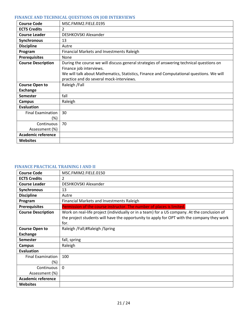## <span id="page-20-0"></span>**FINANCE AND TECHNICAL QUESTIONS ON JOB INTERVIEWS**

| <b>Course Code</b>              | MSC.FMIM2.FIELE.0195                                                                                                                                                                                                                                        |
|---------------------------------|-------------------------------------------------------------------------------------------------------------------------------------------------------------------------------------------------------------------------------------------------------------|
| <b>ECTS Credits</b>             | 2                                                                                                                                                                                                                                                           |
| <b>Course Leader</b>            | DESHKOVSKI Alexander                                                                                                                                                                                                                                        |
| Synchronous                     | 13                                                                                                                                                                                                                                                          |
| <b>Discipline</b>               | Autre                                                                                                                                                                                                                                                       |
| Program                         | <b>Financial Markets and Investments Raleigh</b>                                                                                                                                                                                                            |
| <b>Prerequisites</b>            | None                                                                                                                                                                                                                                                        |
| <b>Course Description</b>       | During the course we will discuss general strategies of answering technical questions on<br>Finance job interviews.<br>We will talk about Mathematics, Statistics, Finance and Computational questions. We will<br>practice and do several mock-interviews. |
| <b>Course Open to</b>           | Raleigh / Fall                                                                                                                                                                                                                                              |
| <b>Exchange</b>                 |                                                                                                                                                                                                                                                             |
| <b>Semester</b>                 | fall                                                                                                                                                                                                                                                        |
| <b>Campus</b>                   | Raleigh                                                                                                                                                                                                                                                     |
| <b>Evaluation</b>               |                                                                                                                                                                                                                                                             |
| <b>Final Examination</b><br>(%) | 30                                                                                                                                                                                                                                                          |
| Continuous                      | 70                                                                                                                                                                                                                                                          |
| Assessment (%)                  |                                                                                                                                                                                                                                                             |
| <b>Academic reference</b>       |                                                                                                                                                                                                                                                             |
| <b>Websites</b>                 |                                                                                                                                                                                                                                                             |

# <span id="page-20-1"></span>**FINANCE PRACTICAL TRAINING I AND II**

| <b>Course Code</b>                 | MSC.FMIM2.FIELE.0150                                                                                                                                                                               |
|------------------------------------|----------------------------------------------------------------------------------------------------------------------------------------------------------------------------------------------------|
| <b>ECTS Credits</b>                | 2                                                                                                                                                                                                  |
| <b>Course Leader</b>               | DESHKOVSKI Alexander                                                                                                                                                                               |
| Synchronous                        | 13                                                                                                                                                                                                 |
| <b>Discipline</b>                  | Autre                                                                                                                                                                                              |
| Program                            | <b>Financial Markets and Investments Raleigh</b>                                                                                                                                                   |
| <b>Prerequisites</b>               | Permission of the course instructor. The number of places is limited.                                                                                                                              |
| <b>Course Description</b>          | Work on real-life project (individually or in a team) for a US company. At the conclusion of<br>the project students will have the opportunity to apply for OPT with the company they work<br>for. |
| <b>Course Open to</b>              | Raleigh /Fall;#Raleigh /Spring                                                                                                                                                                     |
| <b>Exchange</b>                    |                                                                                                                                                                                                    |
| <b>Semester</b>                    | fall, spring                                                                                                                                                                                       |
| Campus                             | Raleigh                                                                                                                                                                                            |
| <b>Evaluation</b>                  |                                                                                                                                                                                                    |
| <b>Final Examination</b><br>$(\%)$ | 100                                                                                                                                                                                                |
| Continuous                         | 0                                                                                                                                                                                                  |
| Assessment (%)                     |                                                                                                                                                                                                    |
| <b>Academic reference</b>          |                                                                                                                                                                                                    |
| <b>Websites</b>                    |                                                                                                                                                                                                    |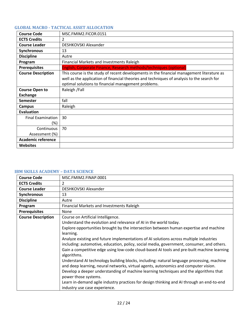# <span id="page-21-0"></span>**GLOBAL MACRO - TACTICAL ASSET ALLOCATION**

| <b>Course Code</b>        | MSC.FMIM2.FICOR.0151                                                                       |
|---------------------------|--------------------------------------------------------------------------------------------|
| <b>ECTS Credits</b>       | 2                                                                                          |
| <b>Course Leader</b>      | DESHKOVSKI Alexander                                                                       |
| Synchronous               | 13                                                                                         |
| <b>Discipline</b>         | Autre                                                                                      |
| Program                   | Financial Markets and Investments Raleigh                                                  |
| <b>Prerequisites</b>      | English, Corporate Finance, Research methods/techniques (optional)                         |
| <b>Course Description</b> | This course is the study of recent developments in the financial management literature as  |
|                           | well as the application of financial theories and techniques of analysis to the search for |
|                           | optimal solutions to financial management problems.                                        |
| <b>Course Open to</b>     | Raleigh / Fall                                                                             |
| <b>Exchange</b>           |                                                                                            |
| <b>Semester</b>           | fall                                                                                       |
| Campus                    | Raleigh                                                                                    |
| <b>Evaluation</b>         |                                                                                            |
| <b>Final Examination</b>  | 30                                                                                         |
| $(\%)$                    |                                                                                            |
| Continuous                | 70                                                                                         |
| Assessment (%)            |                                                                                            |
| <b>Academic reference</b> |                                                                                            |
| <b>Websites</b>           |                                                                                            |

#### <span id="page-21-1"></span>**IBM SKILLS ACADEMY – DATA SCIENCE**

| <b>Course Code</b>        | MSC.FMIM2.FINAP.0001                                                                                      |
|---------------------------|-----------------------------------------------------------------------------------------------------------|
| <b>ECTS Credits</b>       | 2                                                                                                         |
| <b>Course Leader</b>      | DESHKOVSKI Alexander                                                                                      |
| Synchronous               | 13                                                                                                        |
| <b>Discipline</b>         | Autre                                                                                                     |
| Program                   | Financial Markets and Investments Raleigh                                                                 |
| <b>Prerequisites</b>      | None                                                                                                      |
| <b>Course Description</b> | Course on Artificial Intelligence.                                                                        |
|                           | Understand the evolution and relevance of AI in the world today.                                          |
|                           | Explore opportunities brought by the intersection between human expertise and machine                     |
|                           | learning.                                                                                                 |
|                           | Analyze existing and future implementations of AI solutions across multiple industries                    |
|                           | including: automotive, education, policy, social media, government, consumer, and others.                 |
|                           | Gain a competitive edge using low-code cloud-based AI tools and pre-built machine learning<br>algorithms. |
|                           | Understand AI technology building blocks, including: natural language processing, machine                 |
|                           | and deep learning, neural networks, virtual agents, autonomics and computer vision.                       |
|                           | Develop a deeper understanding of machine learning techniques and the algorithms that                     |
|                           | power those systems.                                                                                      |
|                           | Learn in-demand agile industry practices for design thinking and AI through an end-to-end                 |
|                           | industry use case experience.                                                                             |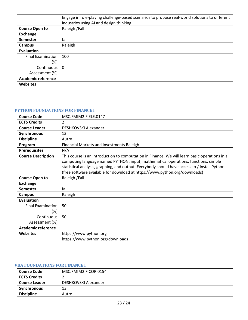|                           | Engage in role-playing challenge-based scenarios to propose real-world solutions to different |
|---------------------------|-----------------------------------------------------------------------------------------------|
|                           | industries using AI and design thinking.                                                      |
| <b>Course Open to</b>     | Raleigh / Fall                                                                                |
| <b>Exchange</b>           |                                                                                               |
| Semester                  | fall                                                                                          |
| Campus                    | Raleigh                                                                                       |
| Evaluation                |                                                                                               |
| <b>Final Examination</b>  | 100                                                                                           |
| (%)                       |                                                                                               |
| Continuous                | $\Omega$                                                                                      |
| Assessment (%)            |                                                                                               |
| <b>Academic reference</b> |                                                                                               |
| <b>Websites</b>           |                                                                                               |

#### <span id="page-22-0"></span>**PYTHON FOUNDATIONS FOR FINANCE I**

| <b>Course Code</b>                 | MSC.FMIM2.FIELE.0147                                                                                                                                                                                                                                                                                                                                              |
|------------------------------------|-------------------------------------------------------------------------------------------------------------------------------------------------------------------------------------------------------------------------------------------------------------------------------------------------------------------------------------------------------------------|
| <b>ECTS Credits</b>                | $\mathfrak{p}$                                                                                                                                                                                                                                                                                                                                                    |
| <b>Course Leader</b>               | DESHKOVSKI Alexander                                                                                                                                                                                                                                                                                                                                              |
| <b>Synchronous</b>                 | 13                                                                                                                                                                                                                                                                                                                                                                |
| <b>Discipline</b>                  | Autre                                                                                                                                                                                                                                                                                                                                                             |
| Program                            | Financial Markets and Investments Raleigh                                                                                                                                                                                                                                                                                                                         |
| <b>Prerequisites</b>               | N/A                                                                                                                                                                                                                                                                                                                                                               |
| <b>Course Description</b>          | This course is an introduction to computation in Finance. We will learn basic operations in a<br>computing language named PYTHON: input, mathematical operations, functions, simple<br>statistical analysis, graphing, and output. Everybody should have access to / install Python<br>(free software available for download at https://www.python.org/downloads) |
| <b>Course Open to</b>              | Raleigh / Fall                                                                                                                                                                                                                                                                                                                                                    |
| <b>Exchange</b>                    |                                                                                                                                                                                                                                                                                                                                                                   |
| Semester                           | fall                                                                                                                                                                                                                                                                                                                                                              |
| <b>Campus</b>                      | Raleigh                                                                                                                                                                                                                                                                                                                                                           |
| <b>Evaluation</b>                  |                                                                                                                                                                                                                                                                                                                                                                   |
| <b>Final Examination</b><br>$(\%)$ | 50                                                                                                                                                                                                                                                                                                                                                                |
| Continuous                         | 50                                                                                                                                                                                                                                                                                                                                                                |
| Assessment (%)                     |                                                                                                                                                                                                                                                                                                                                                                   |
| <b>Academic reference</b>          |                                                                                                                                                                                                                                                                                                                                                                   |
| <b>Websites</b>                    | https://www.python.org<br>https://www.python.org/downloads                                                                                                                                                                                                                                                                                                        |

#### <span id="page-22-1"></span>**VBA FOUNDATIONS FOR FINANCE I**

| <b>Course Code</b>   | MSC.FMIM2.FICOR.0154 |
|----------------------|----------------------|
| <b>ECTS Credits</b>  |                      |
| <b>Course Leader</b> | DESHKOVSKI Alexander |
| <b>Synchronous</b>   | 13                   |
| <b>Discipline</b>    | Autre                |